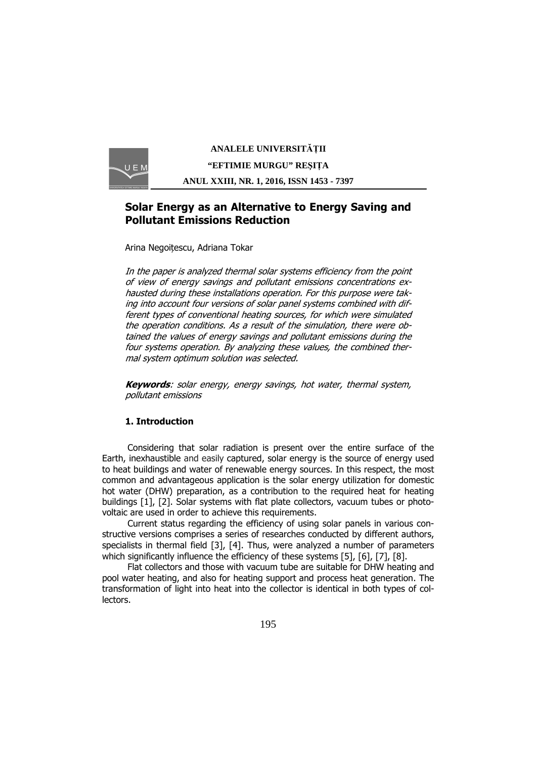

# **ANALELE UNIVERSITĂŢII "EFTIMIE MURGU" REŞIŢA ANUL XXIII, NR. 1, 2016, ISSN 1453 - 7397**

# **Solar Energy as an Alternative to Energy Saving and Pollutant Emissions Reduction**

Arina Negoițescu, Adriana Tokar

In the paper is analyzed thermal solar systems efficiency from the point of view of energy savings and pollutant emissions concentrations exhausted during these installations operation. For this purpose were taking into account four versions of solar panel systems combined with different types of conventional heating sources, for which were simulated the operation conditions. As a result of the simulation, there were obtained the values of energy savings and pollutant emissions during the four systems operation. By analyzing these values, the combined thermal system optimum solution was selected.

**Keywords**: solar energy, energy savings, hot water, thermal system, pollutant emissions

## **1. Introduction**

Considering that solar radiation is present over the entire surface of the Earth, inexhaustible and easily captured, solar energy is the source of energy used to heat buildings and water of renewable energy sources. In this respect, the most common and advantageous application is the solar energy utilization for domestic hot water (DHW) preparation, as a contribution to the required heat for heating buildings [1], [2]. Solar systems with flat plate collectors, vacuum tubes or photovoltaic are used in order to achieve this requirements.

Current status regarding the efficiency of using solar panels in various constructive versions comprises a series of researches conducted by different authors, specialists in thermal field [3], [4]. Thus, were analyzed a number of parameters which significantly influence the efficiency of these systems [5], [6], [7], [8].

Flat collectors and those with vacuum tube are suitable for DHW heating and pool water heating, and also for heating support and process heat generation. The transformation of light into heat into the collector is identical in both types of collectors.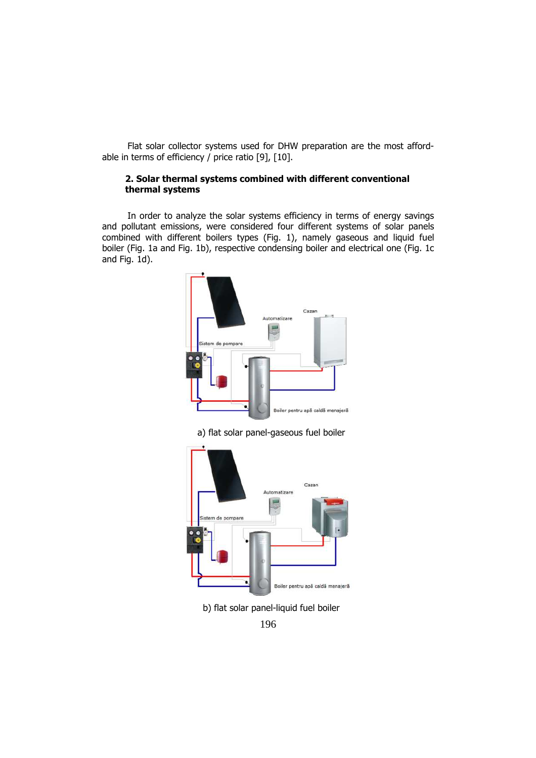Flat solar collector systems used for DHW preparation are the most affordable in terms of efficiency  $/$  price ratio [9], [10].

#### **2. Solar thermal systems combined with different conventional thermal systems**

In order to analyze the solar systems efficiency in terms of energy savings and pollutant emissions, were considered four different systems of solar panels combined with different boilers types (Fig. 1), namely gaseous and liquid fuel boiler (Fig. 1a and Fig. 1b), respective condensing boiler and electrical one (Fig. 1c and Fig. 1d).



a) flat solar panel-gaseous fuel boiler



b) flat solar panel-liquid fuel boiler

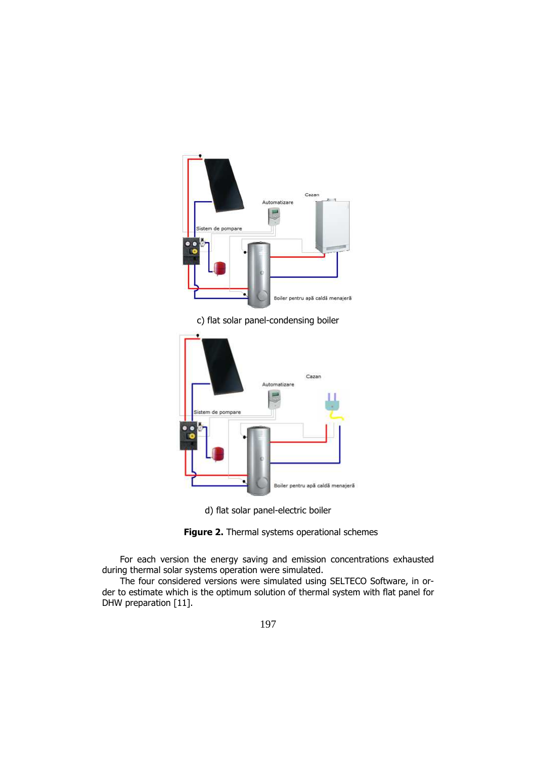

c) flat solar panel-condensing boiler



d) flat solar panel-electric boiler



For each version the energy saving and emission concentrations exhausted during thermal solar systems operation were simulated.

The four considered versions were simulated using SELTECO Software, in order to estimate which is the optimum solution of thermal system with flat panel for DHW preparation [11].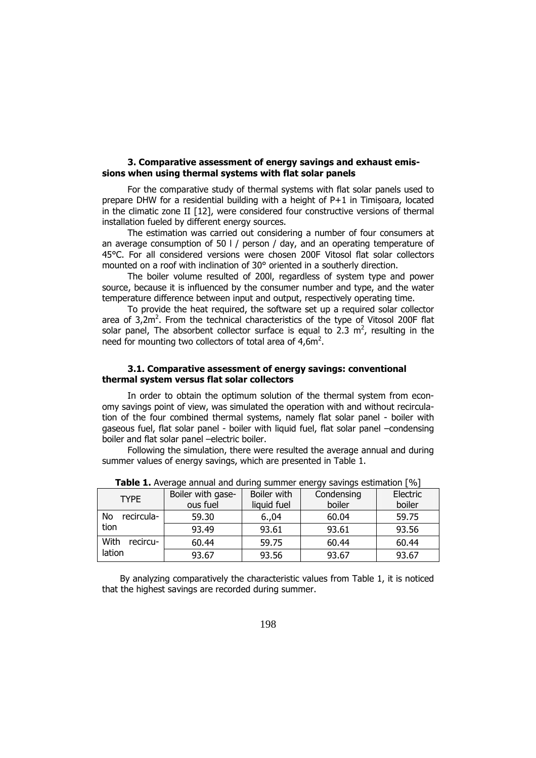### **3. Comparative assessment of energy savings and exhaust emissions when using thermal systems with flat solar panels**

For the comparative study of thermal systems with flat solar panels used to prepare DHW for a residential building with a height of P+1 in Timișoara, located in the climatic zone II [12], were considered four constructive versions of thermal installation fueled by different energy sources.

The estimation was carried out considering a number of four consumers at an average consumption of 50 l / person / day, and an operating temperature of 45°C. For all considered versions were chosen 200F Vitosol flat solar collectors mounted on a roof with inclination of 30° oriented in a southerly direction.

The boiler volume resulted of 200l, regardless of system type and power source, because it is influenced by the consumer number and type, and the water temperature difference between input and output, respectively operating time.

To provide the heat required, the software set up a required solar collector area of 3,2 $m^2$ . From the technical characteristics of the type of Vitosol 200F flat solar panel, The absorbent collector surface is equal to 2.3  $m^2$ , resulting in the need for mounting two collectors of total area of  $4,6m^2$ .

#### **3.1. Comparative assessment of energy savings: conventional thermal system versus flat solar collectors**

In order to obtain the optimum solution of the thermal system from economy savings point of view, was simulated the operation with and without recirculation of the four combined thermal systems, namely flat solar panel - boiler with gaseous fuel, flat solar panel - boiler with liquid fuel, flat solar panel –condensing boiler and flat solar panel –electric boiler.

Following the simulation, there were resulted the average annual and during summer values of energy savings, which are presented in Table 1.

| $\sim$ 0.000 $\sim$ 0.000 $\sim$ 0.000 0.000 0.000 0.000 0.000 0.000 0.000 0.000 0.000 0.000 0.000 0.000 0.000 0.000 0.000 0.000 0.000 0.000 0.000 0.000 0.000 0.000 0.000 0.000 0.000 0.000 0.000 0.000 0.000 0.000 0.000 0.000 0. |                   |             |            |          |  |  |  |
|-------------------------------------------------------------------------------------------------------------------------------------------------------------------------------------------------------------------------------------|-------------------|-------------|------------|----------|--|--|--|
| <b>TYPE</b>                                                                                                                                                                                                                         | Boiler with gase- | Boiler with | Condensing | Electric |  |  |  |
|                                                                                                                                                                                                                                     | ous fuel          | liquid fuel | boiler     | boiler   |  |  |  |
| recircula-<br>No.<br>tion                                                                                                                                                                                                           | 59.30             | 6.04        | 60.04      | 59.75    |  |  |  |
|                                                                                                                                                                                                                                     | 93.49             | 93.61       | 93.61      | 93.56    |  |  |  |
| With<br>recircu-<br>lation                                                                                                                                                                                                          | 60.44             | 59.75       | 60.44      | 60.44    |  |  |  |
|                                                                                                                                                                                                                                     | 93.67             | 93.56       | 93.67      | 93.67    |  |  |  |

**Table 1.** Average annual and during summer energy savings estimation [%]

By analyzing comparatively the characteristic values from Table 1, it is noticed that the highest savings are recorded during summer.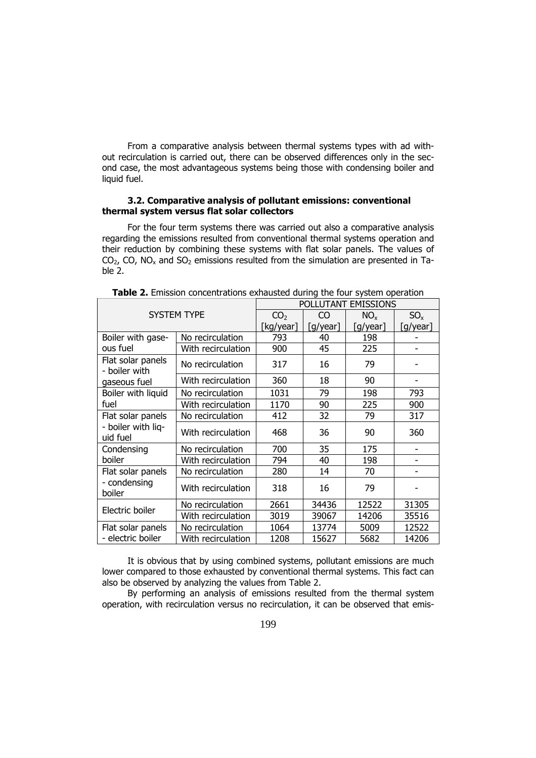From a comparative analysis between thermal systems types with ad without recirculation is carried out, there can be observed differences only in the second case, the most advantageous systems being those with condensing boiler and liquid fuel.

### **3.2. Comparative analysis of pollutant emissions: conventional thermal system versus flat solar collectors**

For the four term systems there was carried out also a comparative analysis regarding the emissions resulted from conventional thermal systems operation and their reduction by combining these systems with flat solar panels. The values of  $CO_{2}$ , CO, NO<sub>x</sub> and SO<sub>2</sub> emissions resulted from the simulation are presented in Table 2.

| <b>SYSTEM TYPE</b>                                  |                    | POLLUTANT EMISSIONS |                |          |          |  |
|-----------------------------------------------------|--------------------|---------------------|----------------|----------|----------|--|
|                                                     |                    | CO <sub>2</sub>     | C <sub>O</sub> | $NO_{x}$ | $SO_{x}$ |  |
|                                                     |                    | [kg/year]           | [g/year]       | [g/year] | [g/year] |  |
| Boiler with gase-<br>ous fuel                       | No recirculation   | 793                 | 40             | 198      |          |  |
|                                                     | With recirculation | 900                 | 45             | 225      |          |  |
| Flat solar panels<br>- boiler with<br>gaseous fuel  | No recirculation   | 317                 | 16             | 79       |          |  |
|                                                     | With recirculation | 360                 | 18             | 90       |          |  |
| Boiler with liquid<br>fuel                          | No recirculation   | 1031                | 79             | 198      | 793      |  |
|                                                     | With recirculation | 1170                | 90             | 225      | 900      |  |
| Flat solar panels<br>- boiler with liq-<br>uid fuel | No recirculation   | 412                 | 32             | 79       | 317      |  |
|                                                     | With recirculation | 468                 | 36             | 90       | 360      |  |
| Condensing<br>boiler                                | No recirculation   | 700                 | 35             | 175      |          |  |
|                                                     | With recirculation | 794                 | 40             | 198      |          |  |
| Flat solar panels<br>- condensing<br>boiler         | No recirculation   | 280                 | 14             | 70       |          |  |
|                                                     | With recirculation | 318                 | 16             | 79       |          |  |
|                                                     | No recirculation   | 2661                | 34436          | 12522    | 31305    |  |
| Electric boiler                                     | With recirculation | 3019                | 39067          | 14206    | 35516    |  |
| Flat solar panels<br>- electric boiler              | No recirculation   | 1064                | 13774          | 5009     | 12522    |  |
|                                                     | With recirculation | 1208                | 15627          | 5682     | 14206    |  |

**Table 2.** Emission concentrations exhausted during the four system operation

It is obvious that by using combined systems, pollutant emissions are much lower compared to those exhausted by conventional thermal systems. This fact can also be observed by analyzing the values from Table 2.

By performing an analysis of emissions resulted from the thermal system operation, with recirculation versus no recirculation, it can be observed that emis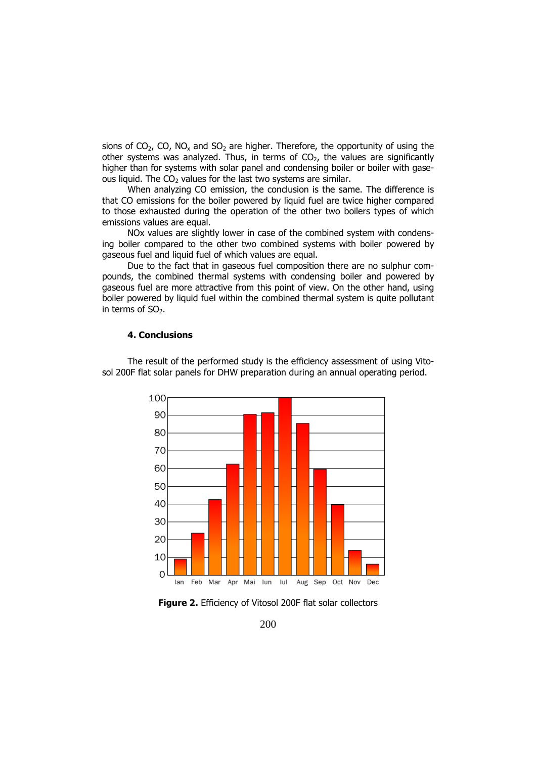sions of  $CO<sub>2</sub>$ , CO, NO<sub>x</sub> and SO<sub>2</sub> are higher. Therefore, the opportunity of using the other systems was analyzed. Thus, in terms of  $CO<sub>2</sub>$ , the values are significantly higher than for systems with solar panel and condensing boiler or boiler with gaseous liquid. The  $CO<sub>2</sub>$  values for the last two systems are similar.

When analyzing CO emission, the conclusion is the same. The difference is that CO emissions for the boiler powered by liquid fuel are twice higher compared to those exhausted during the operation of the other two boilers types of which emissions values are equal.

NOx values are slightly lower in case of the combined system with condensing boiler compared to the other two combined systems with boiler powered by gaseous fuel and liquid fuel of which values are equal.

Due to the fact that in gaseous fuel composition there are no sulphur compounds, the combined thermal systems with condensing boiler and powered by gaseous fuel are more attractive from this point of view. On the other hand, using boiler powered by liquid fuel within the combined thermal system is quite pollutant in terms of  $SO<sub>2</sub>$ .

### **4. Conclusions**

The result of the performed study is the efficiency assessment of using Vitosol 200F flat solar panels for DHW preparation during an annual operating period.



**Figure 2.** Efficiency of Vitosol 200F flat solar collectors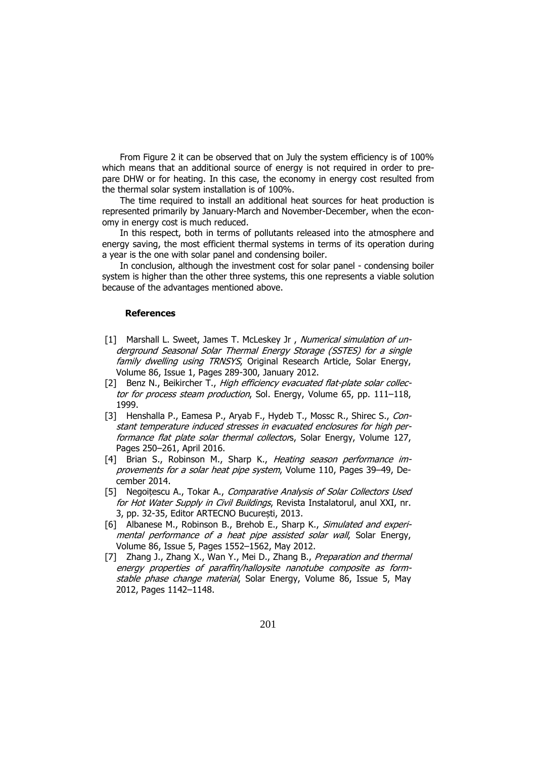From Figure 2 it can be observed that on July the system efficiency is of 100% which means that an additional source of energy is not required in order to prepare DHW or for heating. In this case, the economy in energy cost resulted from the thermal solar system installation is of 100%.

The time required to install an additional heat sources for heat production is represented primarily by January-March and November-December, when the economy in energy cost is much reduced.

In this respect, both in terms of pollutants released into the atmosphere and energy saving, the most efficient thermal systems in terms of its operation during a year is the one with solar panel and condensing boiler.

In conclusion, although the investment cost for solar panel - condensing boiler system is higher than the other three systems, this one represents a viable solution because of the advantages mentioned above.

#### **References**

- [1] Marshall L. Sweet, James T. McLeskey Jr , Numerical simulation of underground Seasonal Solar Thermal Energy Storage (SSTES) for a single family dwelling using TRNSYS, Original Research Article, Solar Energy, Volume 86, Issue 1, Pages 289-300, January 2012.
- [2] Benz N., Beikircher T., High efficiency evacuated flat-plate solar collector for process steam production, Sol. Energy, Volume 65, pp. 111-118, 1999.
- [3] Henshalla P., Eamesa P., Aryab F., Hydeb T., Mossc R., Shirec S., Constant temperature induced stresses in evacuated enclosures for high performance flat plate solar thermal collectors, Solar Energy, Volume 127, Pages 250–261, April 2016.
- [4] Brian S., Robinson M., Sharp K., Heating season performance improvements for a solar heat pipe system, Volume 110, Pages 39–49, December 2014.
- [5] Negoitescu A., Tokar A., Comparative Analysis of Solar Collectors Used for Hot Water Supply in Civil Buildings, Revista Instalatorul, anul XXI, nr. 3, pp. 32-35, Editor ARTECNO București, 2013.
- [6] Albanese M., Robinson B., Brehob E., Sharp K., Simulated and experimental performance of a heat pipe assisted solar wall, Solar Energy, Volume 86, Issue 5, Pages 1552–1562, May 2012.
- [7] Zhang J., Zhang X., Wan Y., Mei D., Zhang B., Preparation and thermal energy properties of paraffin/halloysite nanotube composite as formstable phase change material, Solar Energy, Volume 86, Issue 5, May 2012, Pages 1142–1148.